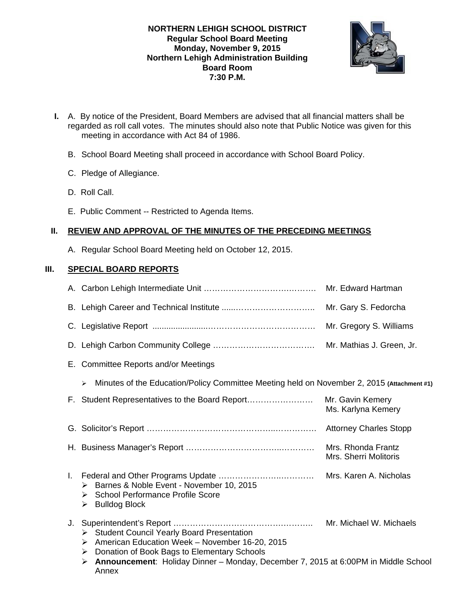### **NORTHERN LEHIGH SCHOOL DISTRICT Regular School Board Meeting Monday, November 9, 2015 Northern Lehigh Administration Building Board Room 7:30 P.M.**



- **I.** A. By notice of the President, Board Members are advised that all financial matters shall be regarded as roll call votes. The minutes should also note that Public Notice was given for this meeting in accordance with Act 84 of 1986.
	- B. School Board Meeting shall proceed in accordance with School Board Policy.
	- C. Pledge of Allegiance.
	- D. Roll Call.
	- E. Public Comment -- Restricted to Agenda Items.

# **II. REVIEW AND APPROVAL OF THE MINUTES OF THE PRECEDING MEETINGS**

A. Regular School Board Meeting held on October 12, 2015.

# **III. SPECIAL BOARD REPORTS**

|    |                                                                                                                                                                                                                                                                      | Mr. Gregory S. Williams                     |
|----|----------------------------------------------------------------------------------------------------------------------------------------------------------------------------------------------------------------------------------------------------------------------|---------------------------------------------|
|    |                                                                                                                                                                                                                                                                      | Mr. Mathias J. Green, Jr.                   |
|    | E. Committee Reports and/or Meetings                                                                                                                                                                                                                                 |                                             |
|    | Minutes of the Education/Policy Committee Meeting held on November 2, 2015 (Attachment #1)<br>$\blacktriangleright$                                                                                                                                                  |                                             |
|    | F. Student Representatives to the Board Report                                                                                                                                                                                                                       | Mr. Gavin Kemery<br>Ms. Karlyna Kemery      |
|    |                                                                                                                                                                                                                                                                      |                                             |
|    |                                                                                                                                                                                                                                                                      | Mrs. Rhonda Frantz<br>Mrs. Sherri Molitoris |
| L. | > Barnes & Noble Event - November 10, 2015<br>> School Performance Profile Score<br><b>Bulldog Block</b><br>➤                                                                                                                                                        | Mrs. Karen A. Nicholas                      |
|    | <b>Student Council Yearly Board Presentation</b><br>≻<br>American Education Week - November 16-20, 2015<br>➤<br>Donation of Book Bags to Elementary Schools<br>➤<br>Announcement: Holiday Dinner - Monday, December 7, 2015 at 6:00PM in Middle School<br>➤<br>Annex | Mr. Michael W. Michaels                     |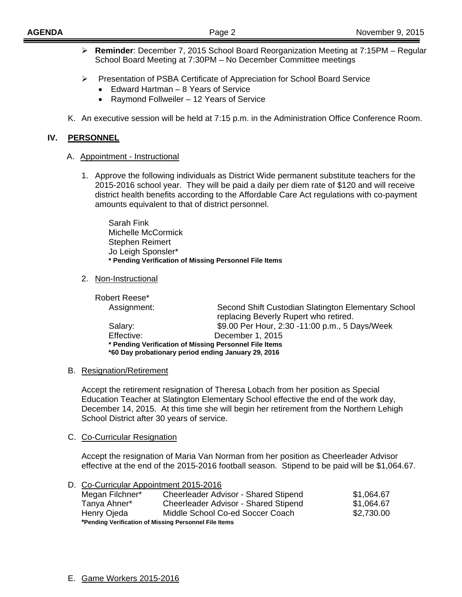- **Reminder**: December 7, 2015 School Board Reorganization Meeting at 7:15PM Regular School Board Meeting at 7:30PM – No December Committee meetings
- Presentation of PSBA Certificate of Appreciation for School Board Service
	- Edward Hartman 8 Years of Service
	- Raymond Follweiler 12 Years of Service
- K. An executive session will be held at 7:15 p.m. in the Administration Office Conference Room.

#### **IV. PERSONNEL**

#### A. Appointment - Instructional

1. Approve the following individuals as District Wide permanent substitute teachers for the 2015-2016 school year. They will be paid a daily per diem rate of \$120 and will receive district health benefits according to the Affordable Care Act regulations with co-payment amounts equivalent to that of district personnel.

 Sarah Fink Michelle McCormick Stephen Reimert Jo Leigh Sponsler\* **\* Pending Verification of Missing Personnel File Items** 

2. Non-Instructional

 Robert Reese\* Assignment: Second Shift Custodian Slatington Elementary School replacing Beverly Rupert who retired. Salary: \$9.00 Per Hour, 2:30 -11:00 p.m., 5 Days/Week Effective: December 1, 2015 **\* Pending Verification of Missing Personnel File Items \*60 Day probationary period ending January 29, 2016** 

#### B. Resignation/Retirement

Accept the retirement resignation of Theresa Lobach from her position as Special Education Teacher at Slatington Elementary School effective the end of the work day, December 14, 2015. At this time she will begin her retirement from the Northern Lehigh School District after 30 years of service.

#### C. Co-Curricular Resignation

Accept the resignation of Maria Van Norman from her position as Cheerleader Advisor effective at the end of the 2015-2016 football season. Stipend to be paid will be \$1,064.67.

| D. Co-Curricular Appointment 2015-2016                |                                      |            |  |  |
|-------------------------------------------------------|--------------------------------------|------------|--|--|
| Megan Filchner*                                       | Cheerleader Advisor - Shared Stipend | \$1,064.67 |  |  |
| Tanya Ahner*                                          | Cheerleader Advisor - Shared Stipend | \$1,064.67 |  |  |
| Henry Ojeda                                           | Middle School Co-ed Soccer Coach     | \$2,730.00 |  |  |
| *Pending Verification of Missing Personnel File Items |                                      |            |  |  |

E. Game Workers 2015-2016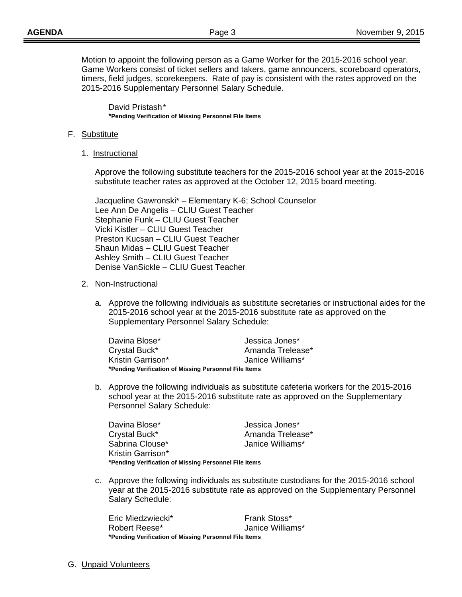Motion to appoint the following person as a Game Worker for the 2015-2016 school year. Game Workers consist of ticket sellers and takers, game announcers, scoreboard operators, timers, field judges, scorekeepers. Rate of pay is consistent with the rates approved on the 2015-2016 Supplementary Personnel Salary Schedule.

 David Pristash \*  **\*Pending Verification of Missing Personnel File Items** 

#### F. Substitute

1. Instructional

 Approve the following substitute teachers for the 2015-2016 school year at the 2015-2016 substitute teacher rates as approved at the October 12, 2015 board meeting.

 Jacqueline Gawronski\* – Elementary K-6; School Counselor Lee Ann De Angelis – CLIU Guest Teacher Stephanie Funk – CLIU Guest Teacher Vicki Kistler – CLIU Guest Teacher Preston Kucsan – CLIU Guest Teacher Shaun Midas – CLIU Guest Teacher Ashley Smith – CLIU Guest Teacher Denise VanSickle – CLIU Guest Teacher

#### 2. Non-Instructional

a. Approve the following individuals as substitute secretaries or instructional aides for the 2015-2016 school year at the 2015-2016 substitute rate as approved on the Supplementary Personnel Salary Schedule:

| Davina Blose*     | Jessica Jones*                                        |  |  |
|-------------------|-------------------------------------------------------|--|--|
| Crystal Buck*     | Amanda Trelease*                                      |  |  |
| Kristin Garrison* | Janice Williams*                                      |  |  |
|                   | *Pending Verification of Missing Personnel File Items |  |  |

b. Approve the following individuals as substitute cafeteria workers for the 2015-2016 school year at the 2015-2016 substitute rate as approved on the Supplementary Personnel Salary Schedule:

| Davina Blose*     | Jessica Jones*                                        |  |  |  |
|-------------------|-------------------------------------------------------|--|--|--|
| Crystal Buck*     | Amanda Trelease*                                      |  |  |  |
| Sabrina Clouse*   | Janice Williams*                                      |  |  |  |
| Kristin Garrison* |                                                       |  |  |  |
|                   | *Pending Verification of Missing Personnel File Items |  |  |  |

c. Approve the following individuals as substitute custodians for the 2015-2016 school year at the 2015-2016 substitute rate as approved on the Supplementary Personnel Salary Schedule:

Eric Miedzwiecki\* Frank Stoss\* Robert Reese\* Janice Williams\* **\*Pending Verification of Missing Personnel File Items** 

G. Unpaid Volunteers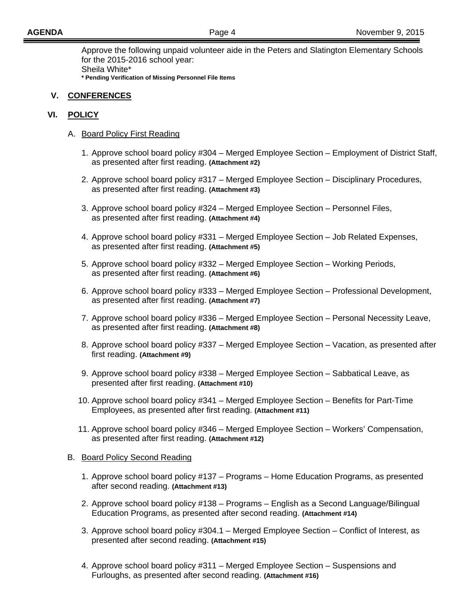Approve the following unpaid volunteer aide in the Peters and Slatington Elementary Schools for the 2015-2016 school year: Sheila White\* **\* Pending Verification of Missing Personnel File Items** 

### **V. CONFERENCES**

### **VI. POLICY**

- A. Board Policy First Reading
	- 1. Approve school board policy #304 Merged Employee Section Employment of District Staff, as presented after first reading. **(Attachment #2)**
	- 2. Approve school board policy #317 Merged Employee Section Disciplinary Procedures, as presented after first reading. **(Attachment #3)**
	- 3. Approve school board policy #324 Merged Employee Section Personnel Files, as presented after first reading. **(Attachment #4)**
	- 4. Approve school board policy #331 Merged Employee Section Job Related Expenses, as presented after first reading. **(Attachment #5)**
	- 5. Approve school board policy #332 Merged Employee Section Working Periods, as presented after first reading. **(Attachment #6)**
	- 6. Approve school board policy #333 Merged Employee Section Professional Development, as presented after first reading. **(Attachment #7)**
	- 7. Approve school board policy #336 Merged Employee Section Personal Necessity Leave, as presented after first reading. **(Attachment #8)**
	- 8. Approve school board policy #337 Merged Employee Section Vacation, as presented after first reading. **(Attachment #9)**
	- 9. Approve school board policy #338 Merged Employee Section Sabbatical Leave, as presented after first reading. **(Attachment #10)**
	- 10. Approve school board policy #341 Merged Employee Section Benefits for Part-Time Employees, as presented after first reading. **(Attachment #11)**
	- 11. Approve school board policy #346 Merged Employee Section Workers' Compensation, as presented after first reading. **(Attachment #12)**

#### **B.** Board Policy Second Reading

- 1. Approve school board policy #137 Programs Home Education Programs, as presented after second reading. **(Attachment #13)**
- 2. Approve school board policy #138 Programs English as a Second Language/Bilingual Education Programs, as presented after second reading. **(Attachment #14)**
- 3. Approve school board policy #304.1 Merged Employee Section Conflict of Interest, as presented after second reading. **(Attachment #15)**
- 4. Approve school board policy #311 Merged Employee Section Suspensions and Furloughs, as presented after second reading. **(Attachment #16)**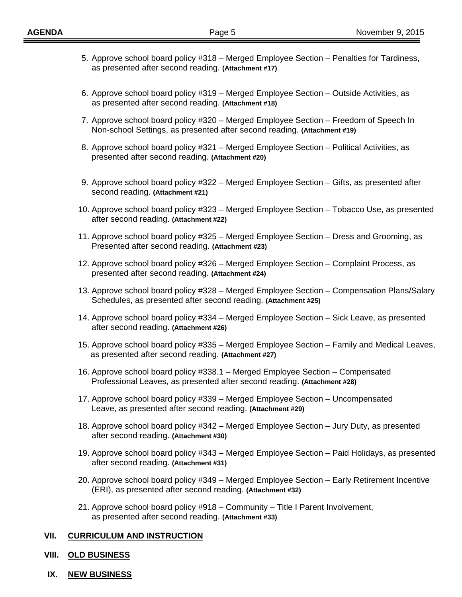- 5. Approve school board policy #318 Merged Employee Section Penalties for Tardiness, as presented after second reading. **(Attachment #17)**
- 6. Approve school board policy #319 Merged Employee Section Outside Activities, as as presented after second reading. **(Attachment #18)**
- 7. Approve school board policy #320 Merged Employee Section Freedom of Speech In Non-school Settings, as presented after second reading. **(Attachment #19)**
- 8. Approve school board policy #321 Merged Employee Section Political Activities, as presented after second reading. **(Attachment #20)**
- 9. Approve school board policy #322 Merged Employee Section Gifts, as presented after second reading. **(Attachment #21)**
- 10. Approve school board policy #323 Merged Employee Section Tobacco Use, as presented after second reading. **(Attachment #22)**
- 11. Approve school board policy #325 Merged Employee Section Dress and Grooming, as Presented after second reading. **(Attachment #23)**
- 12. Approve school board policy #326 Merged Employee Section Complaint Process, as presented after second reading. **(Attachment #24)**
- 13. Approve school board policy #328 Merged Employee Section Compensation Plans/Salary Schedules, as presented after second reading. **(Attachment #25)**
- 14. Approve school board policy #334 Merged Employee Section Sick Leave, as presented after second reading. **(Attachment #26)**
- 15. Approve school board policy #335 Merged Employee Section Family and Medical Leaves, as presented after second reading. **(Attachment #27)**
- 16. Approve school board policy #338.1 Merged Employee Section Compensated Professional Leaves, as presented after second reading. **(Attachment #28)**
- 17. Approve school board policy #339 Merged Employee Section Uncompensated Leave, as presented after second reading. **(Attachment #29)**
- 18. Approve school board policy #342 Merged Employee Section Jury Duty, as presented after second reading. **(Attachment #30)**
- 19. Approve school board policy #343 Merged Employee Section Paid Holidays, as presented after second reading. **(Attachment #31)**
- 20. Approve school board policy #349 Merged Employee Section Early Retirement Incentive (ERI), as presented after second reading. **(Attachment #32)**
- 21. Approve school board policy #918 Community Title I Parent Involvement, as presented after second reading. **(Attachment #33)**

### **VII. CURRICULUM AND INSTRUCTION**

#### **VIII. OLD BUSINESS**

**IX. NEW BUSINESS**